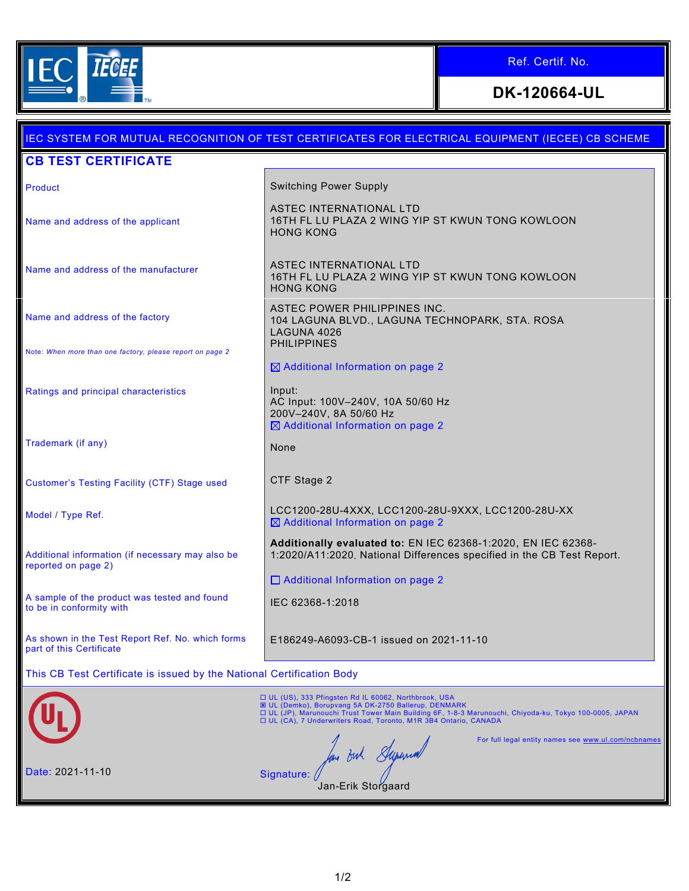

Г

Ref. Certif. No.

**DK-120664-UL**

|                                                                              | IEC SYSTEM FOR MUTUAL RECOGNITION OF TEST CERTIFICATES FOR ELECTRICAL EQUIPMENT (IECEE) CB SCHEME                                                                                                                                                                                                   |
|------------------------------------------------------------------------------|-----------------------------------------------------------------------------------------------------------------------------------------------------------------------------------------------------------------------------------------------------------------------------------------------------|
| <b>CB TEST CERTIFICATE</b>                                                   |                                                                                                                                                                                                                                                                                                     |
| Product                                                                      | <b>Switching Power Supply</b>                                                                                                                                                                                                                                                                       |
| Name and address of the applicant                                            | ASTEC INTERNATIONAL LTD<br>16TH FL LU PLAZA 2 WING YIP ST KWUN TONG KOWLOON<br><b>HONG KONG</b>                                                                                                                                                                                                     |
| Name and address of the manufacturer                                         | ASTEC INTERNATIONAL LTD<br>16TH FL LU PLAZA 2 WING YIP ST KWUN TONG KOWLOON<br><b>HONG KONG</b>                                                                                                                                                                                                     |
| Name and address of the factory                                              | ASTEC POWER PHILIPPINES INC.<br>104 LAGUNA BLVD., LAGUNA TECHNOPARK, STA. ROSA<br>LAGUNA 4026<br><b>PHILIPPINES</b>                                                                                                                                                                                 |
| Note: When more than one factory, please report on page 2                    | ⊠ Additional Information on page 2                                                                                                                                                                                                                                                                  |
| Ratings and principal characteristics                                        | Input:<br>AC Input: 100V-240V, 10A 50/60 Hz<br>200V-240V, 8A 50/60 Hz<br>$\boxtimes$ Additional Information on page 2                                                                                                                                                                               |
| Trademark (if any)                                                           | None                                                                                                                                                                                                                                                                                                |
| <b>Customer's Testing Facility (CTF) Stage used</b>                          | CTF Stage 2                                                                                                                                                                                                                                                                                         |
| Model / Type Ref.                                                            | LCC1200-28U-4XXX, LCC1200-28U-9XXX, LCC1200-28U-XX<br>⊠ Additional Information on page 2                                                                                                                                                                                                            |
| Additional information (if necessary may also be<br>reported on page 2)      | Additionally evaluated to: EN IEC 62368-1:2020, EN IEC 62368-<br>1:2020/A11:2020, National Differences specified in the CB Test Report.                                                                                                                                                             |
|                                                                              | □ Additional Information on page 2                                                                                                                                                                                                                                                                  |
| A sample of the product was tested and found<br>to be in conformity with     | IEC 62368-1:2018                                                                                                                                                                                                                                                                                    |
| As shown in the Test Report Ref. No. which forms<br>part of this Certificate | E186249-A6093-CB-1 issued on 2021-11-10                                                                                                                                                                                                                                                             |
| This CB Test Certificate is issued by the National Certification Body        |                                                                                                                                                                                                                                                                                                     |
|                                                                              | □ UL (US), 333 Pfingsten Rd IL 60062, Northbrook, USA<br><b>E UL (Demko), Borupvang 5A DK-2750 Ballerup, DENMARK</b><br>□ UL (JP), Marunouchi Trust Tower Main Building 6F, 1-8-3 Marunouchi, Chiyoda-ku, Tokyo 100-0005, JAPAN<br>□ UL (CA), 7 Underwriters Road, Toronto, M1R 3B4 Ontario, CANADA |
| Date: 2021-11-10                                                             | For full legal entity names see www.ul.com/ncbnames<br>for out Syrend<br>Signature:<br>Jan-Erik Storgaard                                                                                                                                                                                           |